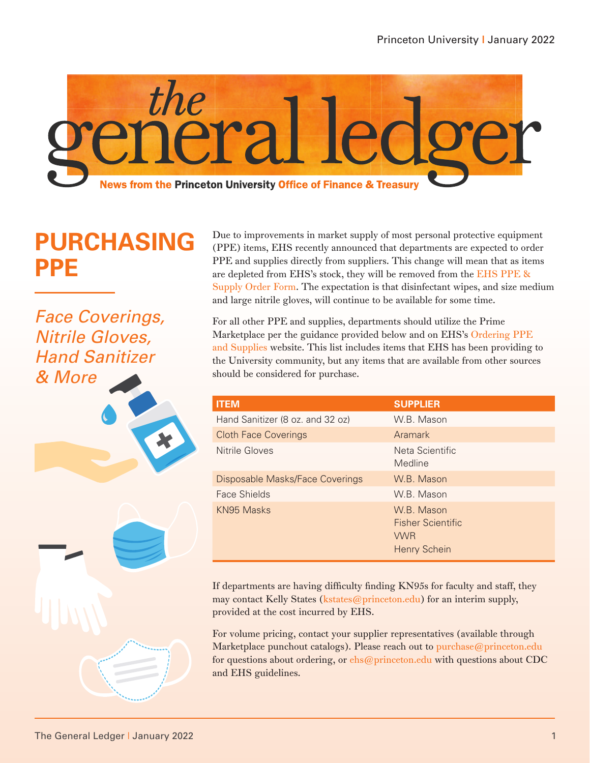

# **PURCHASING PPE**

*Face Coverings, Nitrile Gloves, Hand Sanitizer & More*





Due to improvements in market supply of most personal protective equipment (PPE) items, EHS recently announced that departments are expected to order PPE and supplies directly from suppliers. This change will mean that as items are depleted from EHS's stock, they will be removed from the [EHS PPE &](https://princeton.service-now.com/auth_redirect.do?sysparm_stack=no&sysparm_url=https%3A%2F%2Fidp.princeton.edu%2Fidp%2Fprofile%2FSAML2%2FRedirect%2FSSO%3FSAMLRequest%3DlVLLboMwEPwV5DsQXNKHFSKliapG6gOFtIfeDF4SS7CmXpO2f18gqZJeUvXqnZ2ZnfGEZF3xRsxat8UVvLdAzvusKySxnySstSiMJE0CZQ0kXCGy2eOD4MFINNY4U5iKeTMisE4bnBuktgabgd3pAl5WDwnbOteQCMPGaizAGQxoP%252FXRfASFqUOUu0ZuIFCGeYvOg0bZkx1XtWqC4zqotn%252FpCE2pKwh7QzxcgdIWChdm2TPz7owtYLgrYaWsCJi3XCQse5pHl1fq5iaOVJnn1%252FK6LC%252Bu4jjn%252BfiilJfjSHVASiWR3sFxlaiFJZKT6BLGR5z7o8jn8ToaC87FiAdxHL0xLz0kcqtRadycjy%252Ffg0jcr9epnz5n64FgpxXYpw793%252BRewdKQWkfOppOhQTE4t6elnjclf5pk0z%252FVJ%252BGpxkGxEb335SI1lS6%252BvFlVmY%252B5Bem6e5xtYaimlu68jf5FK78coMJZiaQBHQunB9Hfn3b6DQ%253D%253D%26RelayState%3Dhttps%253A%252F%252Fprinceton.service-now.com%252Fservice%253Fid%253Dsc_cat_item%2526sys_id%253D3926b1b2db255c90aa2cc25a13961902)  [Supply Order Form](https://princeton.service-now.com/auth_redirect.do?sysparm_stack=no&sysparm_url=https%3A%2F%2Fidp.princeton.edu%2Fidp%2Fprofile%2FSAML2%2FRedirect%2FSSO%3FSAMLRequest%3DlVLLboMwEPwV5DsQXNKHFSKliapG6gOFtIfeDF4SS7CmXpO2f18gqZJeUvXqnZ2ZnfGEZF3xRsxat8UVvLdAzvusKySxnySstSiMJE0CZQ0kXCGy2eOD4MFINNY4U5iKeTMisE4bnBuktgabgd3pAl5WDwnbOteQCMPGaizAGQxoP%252FXRfASFqUOUu0ZuIFCGeYvOg0bZkx1XtWqC4zqotn%252FpCE2pKwh7QzxcgdIWChdm2TPz7owtYLgrYaWsCJi3XCQse5pHl1fq5iaOVJnn1%252FK6LC%252Bu4jjn%252BfiilJfjSHVASiWR3sFxlaiFJZKT6BLGR5z7o8jn8ToaC87FiAdxHL0xLz0kcqtRadycjy%252Ffg0jcr9epnz5n64FgpxXYpw793%252BRewdKQWkfOppOhQTE4t6elnjclf5pk0z%252FVJ%252BGpxkGxEb335SI1lS6%252BvFlVmY%252B5Bem6e5xtYaimlu68jf5FK78coMJZiaQBHQunB9Hfn3b6DQ%253D%253D%26RelayState%3Dhttps%253A%252F%252Fprinceton.service-now.com%252Fservice%253Fid%253Dsc_cat_item%2526sys_id%253D3926b1b2db255c90aa2cc25a13961902). The expectation is that disinfectant wipes, and size medium and large nitrile gloves, will continue to be available for some time.

For all other PPE and supplies, departments should utilize the Prime Marketplace per the guidance provided below and on EHS's [Ordering PPE](https://ehs.princeton.edu/health-safety-the-campus-community/covid-19-information-and-resources/resumption-of-campus-operations-planning/ordering-personal-protective-equipment)  [and Supplies](https://ehs.princeton.edu/health-safety-the-campus-community/covid-19-information-and-resources/resumption-of-campus-operations-planning/ordering-personal-protective-equipment) website. This list includes items that EHS has been providing to the University community, but any items that are available from other sources should be considered for purchase.

| <b>ITEM</b>                      | <b>SUPPLIER</b>                                                             |
|----------------------------------|-----------------------------------------------------------------------------|
| Hand Sanitizer (8 oz. and 32 oz) | W.B. Mason                                                                  |
| <b>Cloth Face Coverings</b>      | Aramark                                                                     |
| Nitrile Gloves                   | Neta Scientific<br>Medline                                                  |
| Disposable Masks/Face Coverings  | W.B. Mason                                                                  |
| <b>Face Shields</b>              | W.B. Mason                                                                  |
| KN95 Masks                       | W.B. Mason<br><b>Fisher Scientific</b><br><b>VWR</b><br><b>Henry Schein</b> |

If departments are having difficulty finding KN95s for faculty and staff, they may contact Kelly States (kstates@princeton.edu) for an interim supply, provided at the cost incurred by EHS.

For volume pricing, contact your supplier representatives (available through Marketplace punchout catalogs). Please reach out to purchase@princeton.edu for questions about ordering, or ehs@princeton.edu with questions about CDC and EHS guidelines.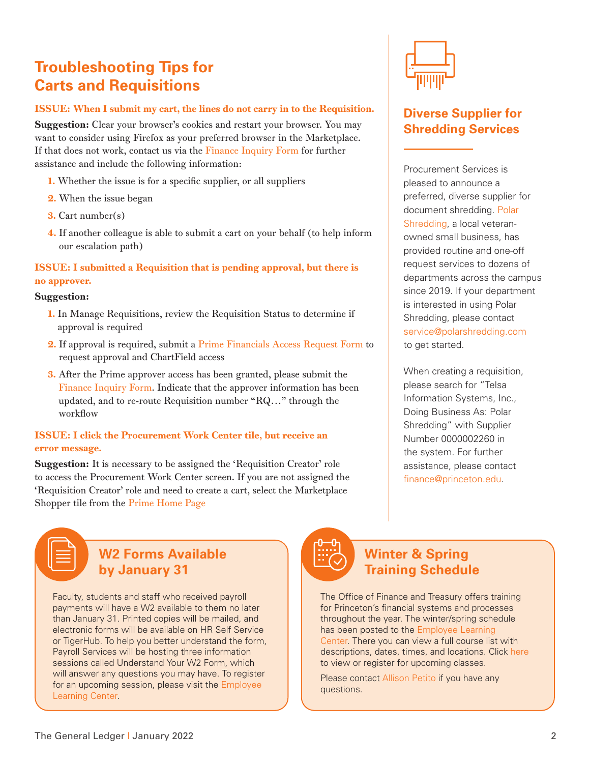# **Troubleshooting Tips for Carts and Requisitions**

### ISSUE: When I submit my cart, the lines do not carry in to the Requisition.

Suggestion: Clear your browser's cookies and restart your browser. You may want to consider using Firefox as your preferred browser in the Marketplace. If that does not work, contact us via the [Finance Inquiry Form](https://princeton.service-now.com/service?id=sc_cat_item&sys_id=a3ac51fbdb62041053d44d8b139619f0) for further assistance and include the following information:

- 1. Whether the issue is for a specific supplier, or all suppliers
- 2. When the issue began
- 3. Cart number(s)
- 4. If another colleague is able to submit a cart on your behalf (to help inform our escalation path)

### ISSUE: I submitted a Requisition that is pending approval, but there is no approver.

### Suggestion:

- 1. In Manage Requisitions, review the Requisition Status to determine if approval is required
- 2. If approval is required, submit a [Prime Financials Access Request Form](https://princeton.service-now.com/service?id=sc_cat_item&sys_id=d97dbe3adbe2809053d44d8b139619c7) to request approval and ChartField access
- 3. After the Prime approver access has been granted, please submit the [Finance Inquiry Form.](https://princeton.service-now.com/service?id=sc_cat_item&sys_id=a3ac51fbdb62041053d44d8b139619f0) Indicate that the approver information has been updated, and to re-route Requisition number "RQ…" through the workflow

### ISSUE: I click the Procurement Work Center tile, but receive an error message.

Suggestion: It is necessary to be assigned the 'Requisition Creator' role to access the Procurement Work Center screen. If you are not assigned the 'Requisition Creator' role and need to create a cart, select the Marketplace Shopper tile from the [Prime Home Page](https://prime.princeton.edu/)



### **Diverse Supplier for Shredding Services**

Procurement Services is pleased to announce a preferred, diverse supplier for document shredding. [Polar](http://www.polarshredding.com/)  [Shredding](http://www.polarshredding.com/), a local veteranowned small business, has provided routine and one-off request services to dozens of departments across the campus since 2019. If your department is interested in using Polar Shredding, please contact service@polarshredding.com to get started.

When creating a requisition, please search for "Telsa Information Systems, Inc., Doing Business As: Polar Shredding" with Supplier Number 0000002260 in the system. For further assistance, please contact finance@princeton.edu.

## **W2 Forms Available by January 31**

Faculty, students and staff who received payroll payments will have a W2 available to them no later than January 31. Printed copies will be mailed, and electronic forms will be available on HR Self Service or TigerHub. To help you better understand the form, Payroll Services will be hosting three information sessions called Understand Your W2 Form, which will answer any questions you may have. To register for an upcoming session, please visit the [Employee](https://fed.princeton.edu/cas/login?service=https%3A%2F%2Fidp.princeton.edu%2Fidp%2FAuthn%2FExternal%3Fconversation%3De8s1&entityId=https%3A%2F%2Fputrain.learn.com)  [Learning Center.](https://fed.princeton.edu/cas/login?service=https%3A%2F%2Fidp.princeton.edu%2Fidp%2FAuthn%2FExternal%3Fconversation%3De8s1&entityId=https%3A%2F%2Fputrain.learn.com)



### **Winter & Spring Training Schedule**

The Office of Finance and Treasury offers training for Princeton's financial systems and processes throughout the year. The winter/spring schedule has been posted to the [Employee Learning](https://fed.princeton.edu/cas/login?service=https%3A%2F%2Fidp.princeton.edu%2Fidp%2FAuthn%2FExternal%3Fconversation%3De9s1&entityId=https%3A%2F%2Fputrain.learn.com)  [Center](https://fed.princeton.edu/cas/login?service=https%3A%2F%2Fidp.princeton.edu%2Fidp%2FAuthn%2FExternal%3Fconversation%3De9s1&entityId=https%3A%2F%2Fputrain.learn.com). There you can view a full course list with descriptions, dates, times, and locations. Click [here](https://fed.princeton.edu/cas/login?service=https%3A%2F%2Fidp.princeton.edu%2Fidp%2FAuthn%2FExternal%3Fconversation%3De10s1&entityId=https%3A%2F%2Fputrain.learn.com) to view or register for upcoming classes.

Please contact [Allison Petito](mailto:apetito%40princeton.edu?subject=Winter%20%26%20Spring%20Training%20Schedule) if you have any questions.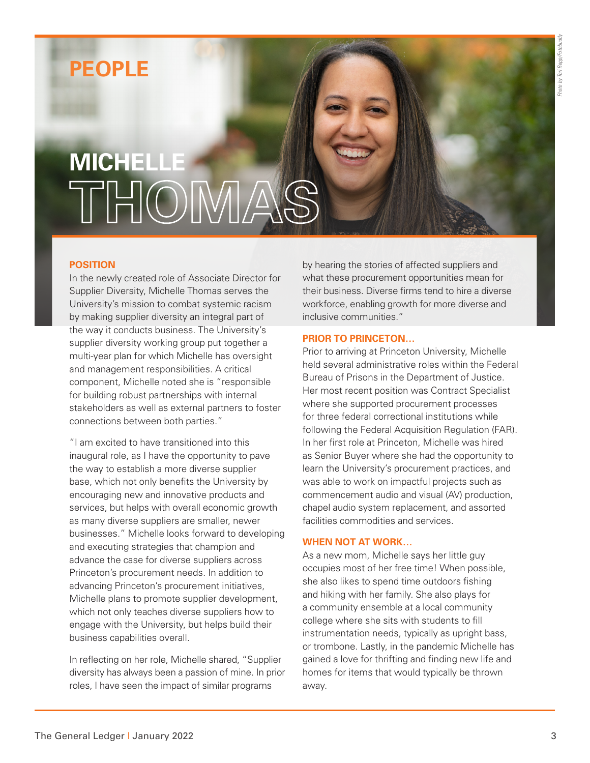# **PEOPLE**

# **MICHELLE THOMAS**

### **POSITION**

In the newly created role of Associate Director for Supplier Diversity, Michelle Thomas serves the University's mission to combat systemic racism by making supplier diversity an integral part of the way it conducts business. The University's supplier diversity working group put together a multi-year plan for which Michelle has oversight and management responsibilities. A critical component, Michelle noted she is "responsible for building robust partnerships with internal stakeholders as well as external partners to foster connections between both parties."

"I am excited to have transitioned into this inaugural role, as I have the opportunity to pave the way to establish a more diverse supplier base, which not only benefits the University by encouraging new and innovative products and services, but helps with overall economic growth as many diverse suppliers are smaller, newer businesses." Michelle looks forward to developing and executing strategies that champion and advance the case for diverse suppliers across Princeton's procurement needs. In addition to advancing Princeton's procurement initiatives, Michelle plans to promote supplier development, which not only teaches diverse suppliers how to engage with the University, but helps build their business capabilities overall.

In reflecting on her role, Michelle shared, "Supplier diversity has always been a passion of mine. In prior roles, I have seen the impact of similar programs

by hearing the stories of affected suppliers and what these procurement opportunities mean for their business. Diverse firms tend to hire a diverse workforce, enabling growth for more diverse and inclusive communities."

#### **PRIOR TO PRINCETON…**

Prior to arriving at Princeton University, Michelle held several administrative roles within the Federal Bureau of Prisons in the Department of Justice. Her most recent position was Contract Specialist where she supported procurement processes for three federal correctional institutions while following the Federal Acquisition Regulation (FAR). In her first role at Princeton, Michelle was hired as Senior Buyer where she had the opportunity to learn the University's procurement practices, and was able to work on impactful projects such as commencement audio and visual (AV) production, chapel audio system replacement, and assorted facilities commodities and services.

#### **WHEN NOT AT WORK…**

As a new mom, Michelle says her little guy occupies most of her free time! When possible, she also likes to spend time outdoors fishing and hiking with her family. She also plays for a community ensemble at a local community college where she sits with students to fill instrumentation needs, typically as upright bass, or trombone. Lastly, in the pandemic Michelle has gained a love for thrifting and finding new life and homes for items that would typically be thrown away.